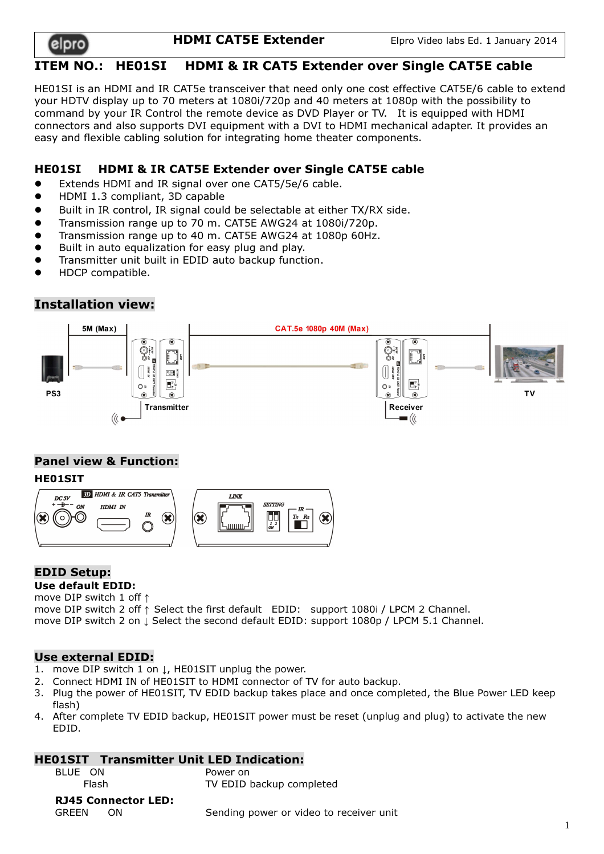

**HDMI CAT5E Extender** Elpro Video labs Ed. 1 January 2014

# ITEM NO.: HE01SI HDMI & IR CAT5 Extender over Single CAT5E cable

HE01SI is an HDMI and IR CAT5e transceiver that need only one cost effective CAT5E/6 cable to extend your HDTV display up to 70 meters at 1080i/720p and 40 meters at 1080p with the possibility to command by your IR Control the remote device as DVD Player or TV. It is equipped with HDMI connectors and also supports DVI equipment with a DVI to HDMI mechanical adapter. It provides an easy and flexible cabling solution for integrating home theater components.

## HE01SI HDMI & IR CAT5E Extender over Single CAT5E cable

- Extends HDMI and IR signal over one CAT5/5e/6 cable.
- HDMI 1.3 compliant, 3D capable
- Built in IR control, IR signal could be selectable at either TX/RX side.
- Transmission range up to 70 m. CAT5E AWG24 at 1080i/720p.
- Transmission range up to 40 m. CAT5E AWG24 at 1080p 60Hz.
- Built in auto equalization for easy plug and play.
- Transmitter unit built in EDID auto backup function.
- HDCP compatible.

# Installation view:



# Panel view & Function:

### HE01SIT



#### EDID Setup: Use default EDID:

move DIP switch 1 off ↑

move DIP switch 2 off ↑ Select the first default EDID: support 1080i / LPCM 2 Channel. move DIP switch 2 on ↓ Select the second default EDID: support 1080p / LPCM 5.1 Channel.

### Use external EDID:

- 1. move DIP switch 1 on ↓, HE01SIT unplug the power.
- 2. Connect HDMI IN of HE01SIT to HDMI connector of TV for auto backup.
- 3. Plug the power of HE01SIT, TV EDID backup takes place and once completed, the Blue Power LED keep flash)
- 4. After complete TV EDID backup, HE01SIT power must be reset (unplug and plug) to activate the new EDID.

### HE01SIT Transmitter Unit LED Indication:

| BLUE ON                    | Power on                 |
|----------------------------|--------------------------|
| <b>Flash</b>               | TV EDID backup completed |
| <b>RJ45 Connector LED:</b> |                          |

1

| гіаыі |                            | TV CDID DACKUD COMPRESS                 |  |
|-------|----------------------------|-----------------------------------------|--|
|       | <b>RJ45 Connector LED:</b> |                                         |  |
| GREEN | 0N.                        | Sending power or video to receiver unit |  |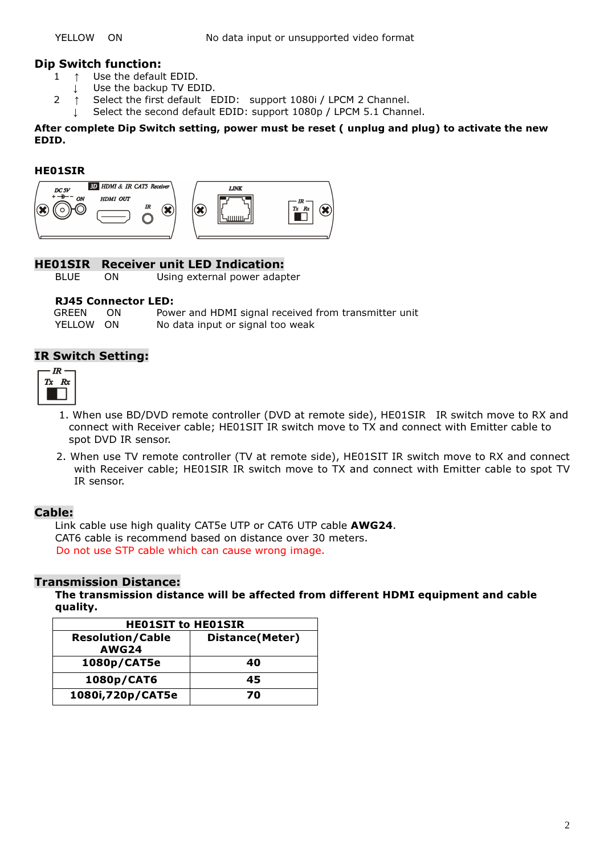### Dip Switch function:

- 1 ↑ Use the default EDID.
	- ↓ Use the backup TV EDID.
- 2 ↑ Select the first default EDID: support 1080i / LPCM 2 Channel.
	- ↓ Select the second default EDID: support 1080p / LPCM 5.1 Channel.

After complete Dip Switch setting, power must be reset ( unplug and plug) to activate the new EDID.

#### HE01SIR



### HE01SIR Receiver unit LED Indication:

BLUE ON Using external power adapter

#### RJ45 Connector LED:

GREEN ON Power and HDMI signal received from transmitter unit YELLOW ON No data input or signal too weak

### IR Switch Setting:



- 1. When use BD/DVD remote controller (DVD at remote side), HE01SIR IR switch move to RX and connect with Receiver cable; HE01SIT IR switch move to TX and connect with Emitter cable to spot DVD IR sensor.
- 2. When use TV remote controller (TV at remote side), HE01SIT IR switch move to RX and connect with Receiver cable; HE01SIR IR switch move to TX and connect with Emitter cable to spot TV IR sensor.

### Cable:

Link cable use high quality CAT5e UTP or CAT6 UTP cable AWG24. CAT6 cable is recommend based on distance over 30 meters. Do not use STP cable which can cause wrong image.

### Transmission Distance:

The transmission distance will be affected from different HDMI equipment and cable quality.

| <b>HEO1SIT to HEO1SIR</b> |                         |  |  |
|---------------------------|-------------------------|--|--|
| <b>Resolution/Cable</b>   | <b>Distance</b> (Meter) |  |  |
| <b>AWG24</b>              |                         |  |  |
| 1080p/CAT5e               | 40                      |  |  |
| 1080p/CAT6                | 45                      |  |  |
| 1080i,720p/CAT5e          | 70                      |  |  |